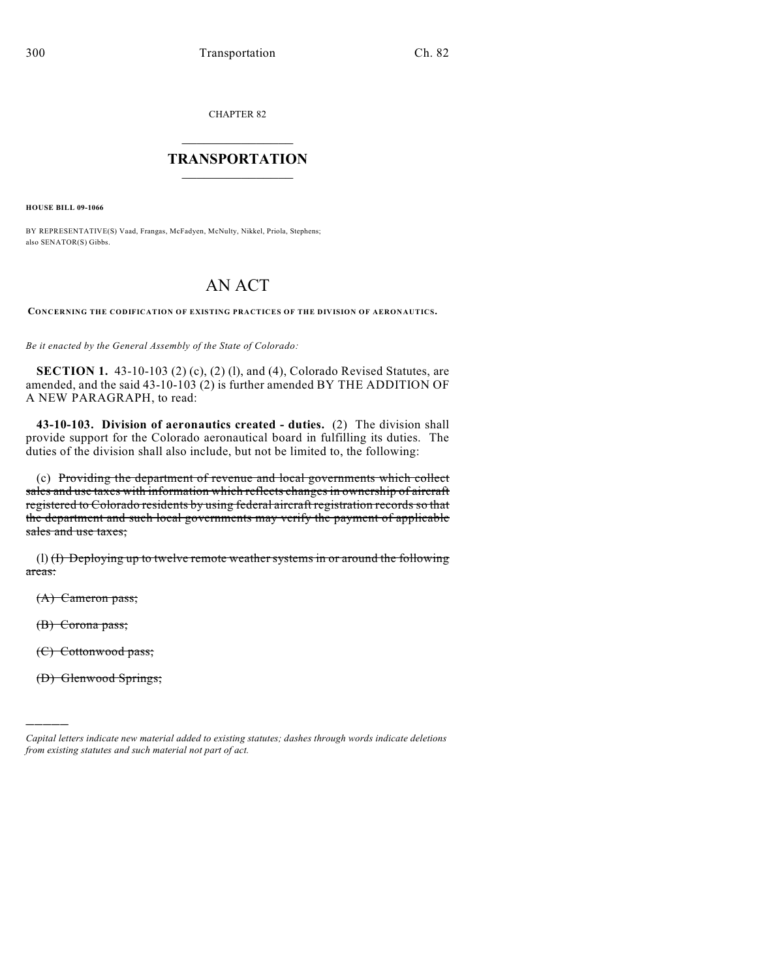CHAPTER 82

## $\mathcal{L}_\text{max}$  . The set of the set of the set of the set of the set of the set of the set of the set of the set of the set of the set of the set of the set of the set of the set of the set of the set of the set of the set **TRANSPORTATION**  $\_$   $\_$   $\_$   $\_$   $\_$   $\_$   $\_$   $\_$   $\_$

**HOUSE BILL 09-1066**

BY REPRESENTATIVE(S) Vaad, Frangas, McFadyen, McNulty, Nikkel, Priola, Stephens; also SENATOR(S) Gibbs.

# AN ACT

**CONCERNING THE CODIFICATION OF EXISTING PRACTICES OF THE DIVISION OF AERONAUTICS.**

*Be it enacted by the General Assembly of the State of Colorado:*

**SECTION 1.** 43-10-103 (2) (c), (2) (l), and (4), Colorado Revised Statutes, are amended, and the said 43-10-103 (2) is further amended BY THE ADDITION OF A NEW PARAGRAPH, to read:

**43-10-103. Division of aeronautics created - duties.** (2) The division shall provide support for the Colorado aeronautical board in fulfilling its duties. The duties of the division shall also include, but not be limited to, the following:

(c) Providing the department of revenue and local governments which collect sales and use taxes with information which reflects changes in ownership of aircraft registered to Colorado residents by using federal aircraft registration records so that the department and such local governments may verify the payment of applicable sales and use taxes;

(l) (I) Deploying up to twelve remote weather systems in or around the following areas:

(A) Cameron pass;

(B) Corona pass;

)))))

(C) Cottonwood pass;

(D) Glenwood Springs;

*Capital letters indicate new material added to existing statutes; dashes through words indicate deletions from existing statutes and such material not part of act.*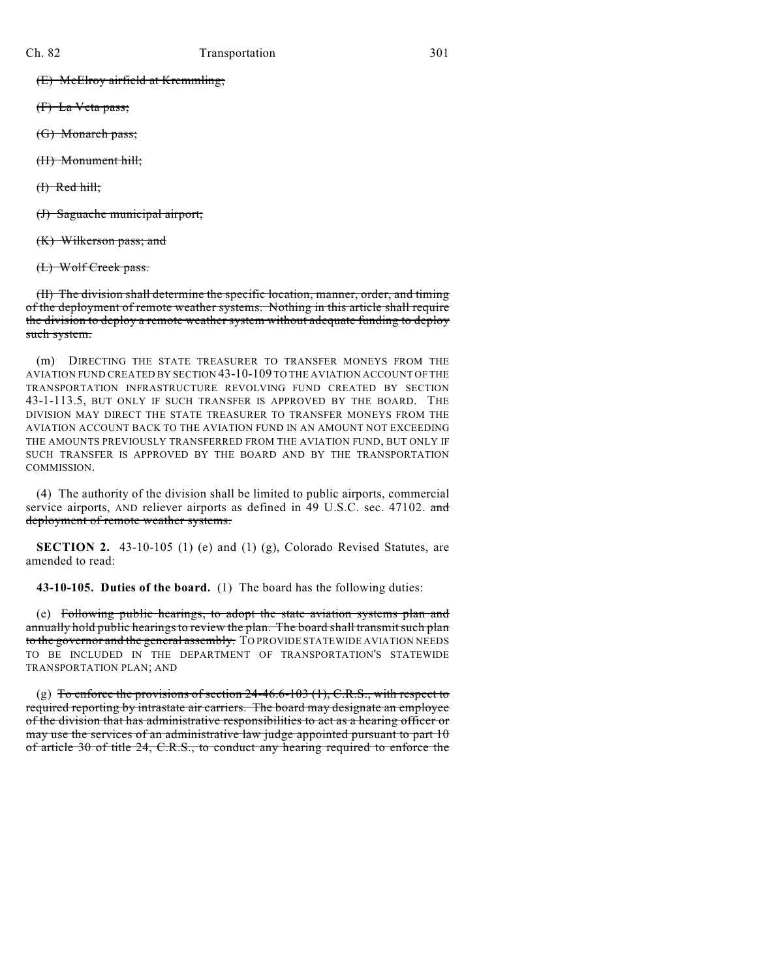(E) McElroy airfield at Kremmling;

- (F) La Veta pass;
- (G) Monarch pass;
- (H) Monument hill;

 $(H)$  Red hill;

(J) Saguache municipal airport;

(K) Wilkerson pass; and

(L) Wolf Creek pass.

(II) The division shall determine the specific location, manner, order, and timing of the deployment of remote weather systems. Nothing in this article shall require the division to deploy a remote weather system without adequate funding to deploy such system.

(m) DIRECTING THE STATE TREASURER TO TRANSFER MONEYS FROM THE AVIATION FUND CREATED BY SECTION 43-10-109 TO THE AVIATION ACCOUNT OF THE TRANSPORTATION INFRASTRUCTURE REVOLVING FUND CREATED BY SECTION 43-1-113.5, BUT ONLY IF SUCH TRANSFER IS APPROVED BY THE BOARD. THE DIVISION MAY DIRECT THE STATE TREASURER TO TRANSFER MONEYS FROM THE AVIATION ACCOUNT BACK TO THE AVIATION FUND IN AN AMOUNT NOT EXCEEDING THE AMOUNTS PREVIOUSLY TRANSFERRED FROM THE AVIATION FUND, BUT ONLY IF SUCH TRANSFER IS APPROVED BY THE BOARD AND BY THE TRANSPORTATION COMMISSION.

(4) The authority of the division shall be limited to public airports, commercial service airports, AND reliever airports as defined in 49 U.S.C. sec. 47102. and deployment of remote weather systems.

**SECTION 2.** 43-10-105 (1) (e) and (1) (g), Colorado Revised Statutes, are amended to read:

**43-10-105. Duties of the board.** (1) The board has the following duties:

(e) Following public hearings, to adopt the state aviation systems plan and annually hold public hearings to review the plan. The board shall transmit such plan to the governor and the general assembly. TO PROVIDE STATEWIDE AVIATION NEEDS TO BE INCLUDED IN THE DEPARTMENT OF TRANSPORTATION'S STATEWIDE TRANSPORTATION PLAN; AND

(g) To enforce the provisions of section  $24-46.6-103$  (1), C.R.S., with respect to required reporting by intrastate air carriers. The board may designate an employee of the division that has administrative responsibilities to act as a hearing officer or may use the services of an administrative law judge appointed pursuant to part 10 of article 30 of title 24, C.R.S., to conduct any hearing required to enforce the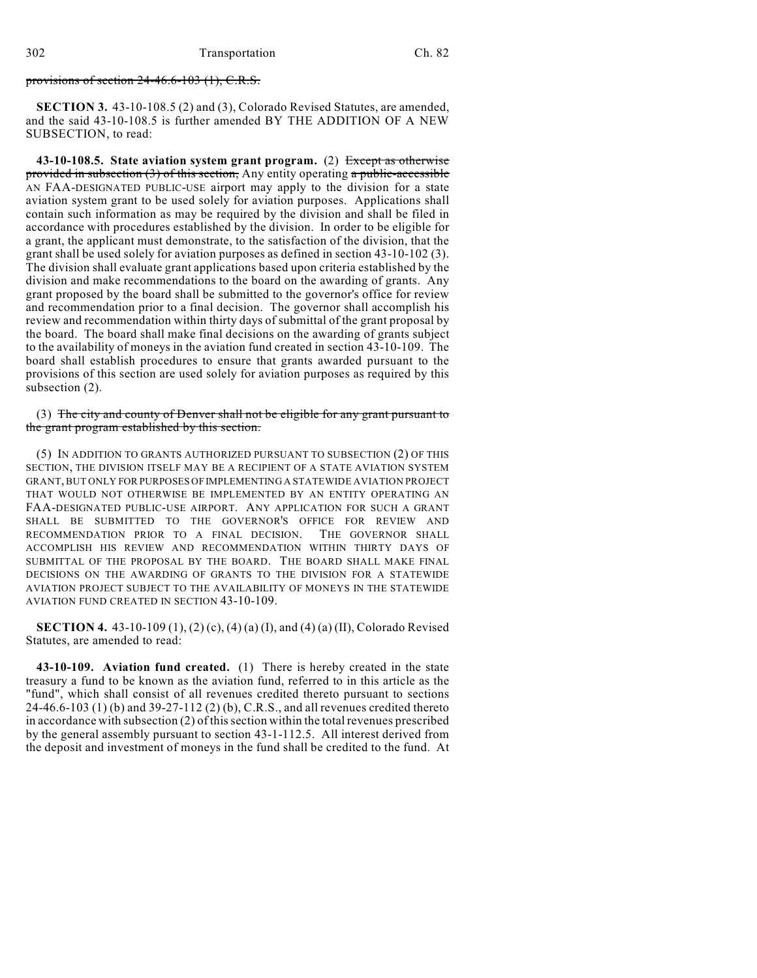#### provisions of section 24-46.6-103 (1), C.R.S.

**SECTION 3.** 43-10-108.5 (2) and (3), Colorado Revised Statutes, are amended, and the said 43-10-108.5 is further amended BY THE ADDITION OF A NEW SUBSECTION, to read:

**43-10-108.5. State aviation system grant program.** (2) Except as otherwise provided in subsection  $(3)$  of this section, Any entity operating a public-accessible AN FAA-DESIGNATED PUBLIC-USE airport may apply to the division for a state aviation system grant to be used solely for aviation purposes. Applications shall contain such information as may be required by the division and shall be filed in accordance with procedures established by the division. In order to be eligible for a grant, the applicant must demonstrate, to the satisfaction of the division, that the grant shall be used solely for aviation purposes as defined in section 43-10-102 (3). The division shall evaluate grant applications based upon criteria established by the division and make recommendations to the board on the awarding of grants. Any grant proposed by the board shall be submitted to the governor's office for review and recommendation prior to a final decision. The governor shall accomplish his review and recommendation within thirty days of submittal of the grant proposal by the board. The board shall make final decisions on the awarding of grants subject to the availability of moneys in the aviation fund created in section 43-10-109. The board shall establish procedures to ensure that grants awarded pursuant to the provisions of this section are used solely for aviation purposes as required by this subsection (2).

(3) The city and county of Denver shall not be eligible for any grant pursuant to the grant program established by this section.

(5) IN ADDITION TO GRANTS AUTHORIZED PURSUANT TO SUBSECTION (2) OF THIS SECTION, THE DIVISION ITSELF MAY BE A RECIPIENT OF A STATE AVIATION SYSTEM GRANT, BUT ONLY FOR PURPOSES OF IMPLEMENTING A STATEWIDE AVIATION PROJECT THAT WOULD NOT OTHERWISE BE IMPLEMENTED BY AN ENTITY OPERATING AN FAA-DESIGNATED PUBLIC-USE AIRPORT. ANY APPLICATION FOR SUCH A GRANT SHALL BE SUBMITTED TO THE GOVERNOR'S OFFICE FOR REVIEW AND RECOMMENDATION PRIOR TO A FINAL DECISION. THE GOVERNOR SHALL ACCOMPLISH HIS REVIEW AND RECOMMENDATION WITHIN THIRTY DAYS OF SUBMITTAL OF THE PROPOSAL BY THE BOARD. THE BOARD SHALL MAKE FINAL DECISIONS ON THE AWARDING OF GRANTS TO THE DIVISION FOR A STATEWIDE AVIATION PROJECT SUBJECT TO THE AVAILABILITY OF MONEYS IN THE STATEWIDE AVIATION FUND CREATED IN SECTION 43-10-109.

**SECTION 4.** 43-10-109 (1), (2) (c), (4) (a) (I), and (4) (a) (II), Colorado Revised Statutes, are amended to read:

**43-10-109. Aviation fund created.** (1) There is hereby created in the state treasury a fund to be known as the aviation fund, referred to in this article as the "fund", which shall consist of all revenues credited thereto pursuant to sections 24-46.6-103 (1) (b) and 39-27-112 (2) (b), C.R.S., and all revenues credited thereto in accordance with subsection  $(2)$  of this section within the total revenues prescribed by the general assembly pursuant to section 43-1-112.5. All interest derived from the deposit and investment of moneys in the fund shall be credited to the fund. At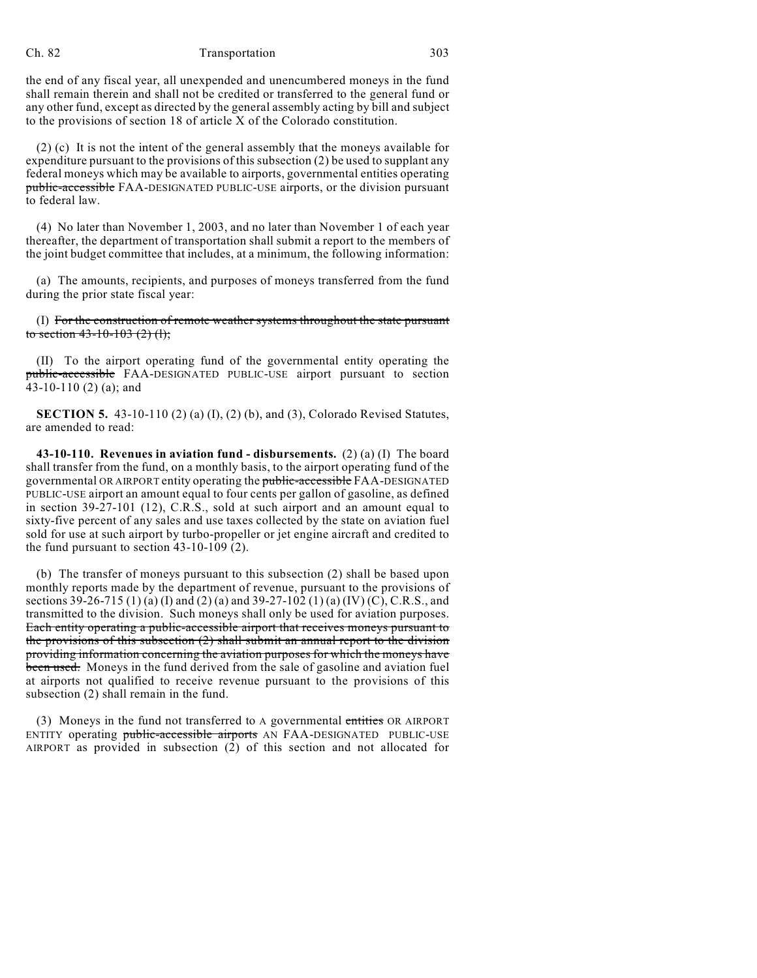#### Ch. 82 Transportation 303

the end of any fiscal year, all unexpended and unencumbered moneys in the fund shall remain therein and shall not be credited or transferred to the general fund or any other fund, except as directed by the general assembly acting by bill and subject to the provisions of section 18 of article X of the Colorado constitution.

(2) (c) It is not the intent of the general assembly that the moneys available for expenditure pursuant to the provisions of this subsection (2) be used to supplant any federal moneys which may be available to airports, governmental entities operating public-accessible FAA-DESIGNATED PUBLIC-USE airports, or the division pursuant to federal law.

(4) No later than November 1, 2003, and no later than November 1 of each year thereafter, the department of transportation shall submit a report to the members of the joint budget committee that includes, at a minimum, the following information:

(a) The amounts, recipients, and purposes of moneys transferred from the fund during the prior state fiscal year:

(I) For the construction of remote weather systems throughout the state pursuant to section  $43-10-103$   $(2)$   $(l)$ ;

(II) To the airport operating fund of the governmental entity operating the public-accessible FAA-DESIGNATED PUBLIC-USE airport pursuant to section 43-10-110 (2) (a); and

**SECTION 5.** 43-10-110 (2) (a) (I), (2) (b), and (3), Colorado Revised Statutes, are amended to read:

**43-10-110. Revenues in aviation fund - disbursements.** (2) (a) (I) The board shall transfer from the fund, on a monthly basis, to the airport operating fund of the governmental OR AIRPORT entity operating the public-accessible FAA-DESIGNATED PUBLIC-USE airport an amount equal to four cents per gallon of gasoline, as defined in section 39-27-101 (12), C.R.S., sold at such airport and an amount equal to sixty-five percent of any sales and use taxes collected by the state on aviation fuel sold for use at such airport by turbo-propeller or jet engine aircraft and credited to the fund pursuant to section 43-10-109 (2).

(b) The transfer of moneys pursuant to this subsection (2) shall be based upon monthly reports made by the department of revenue, pursuant to the provisions of sections 39-26-715 (1) (a) (I) and (2) (a) and 39-27-102 (1) (a) (IV) (C), C.R.S., and transmitted to the division. Such moneys shall only be used for aviation purposes. Each entity operating a public-accessible airport that receives moneys pursuant to the provisions of this subsection (2) shall submit an annual report to the division providing information concerning the aviation purposes for which the moneys have been used. Moneys in the fund derived from the sale of gasoline and aviation fuel at airports not qualified to receive revenue pursuant to the provisions of this subsection (2) shall remain in the fund.

(3) Moneys in the fund not transferred to A governmental entities OR AIRPORT ENTITY operating public-accessible airports AN FAA-DESIGNATED PUBLIC-USE AIRPORT as provided in subsection (2) of this section and not allocated for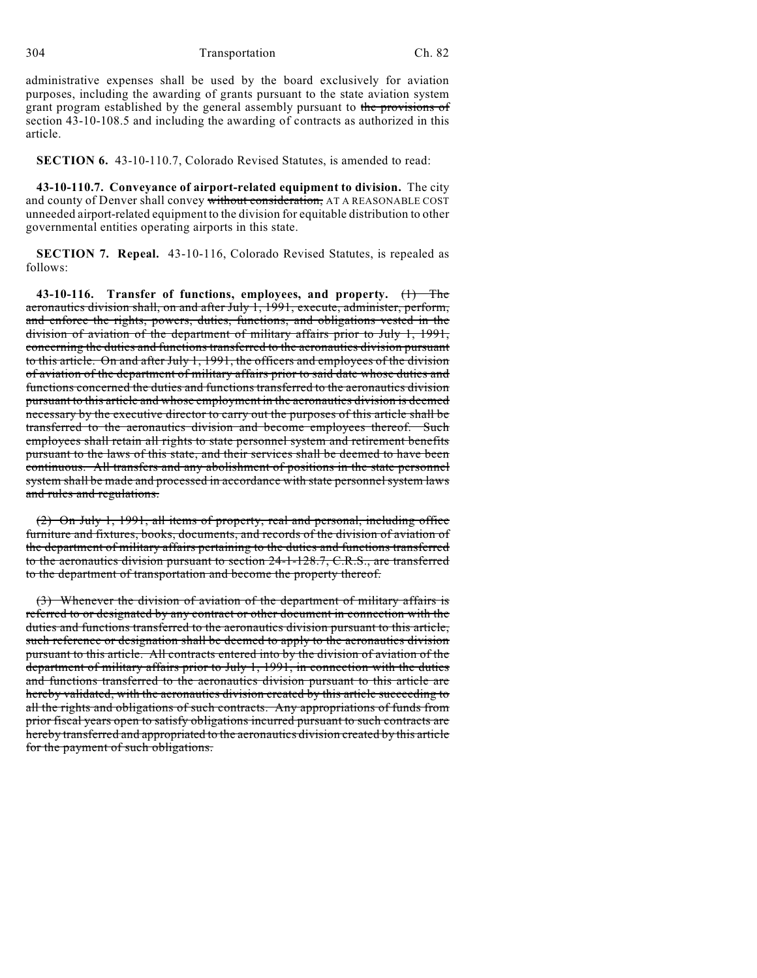304 Transportation Ch. 82

administrative expenses shall be used by the board exclusively for aviation purposes, including the awarding of grants pursuant to the state aviation system grant program established by the general assembly pursuant to the provisions of section 43-10-108.5 and including the awarding of contracts as authorized in this article.

**SECTION 6.** 43-10-110.7, Colorado Revised Statutes, is amended to read:

**43-10-110.7. Conveyance of airport-related equipment to division.** The city and county of Denver shall convey without consideration, AT A REASONABLE COST unneeded airport-related equipment to the division for equitable distribution to other governmental entities operating airports in this state.

**SECTION 7. Repeal.** 43-10-116, Colorado Revised Statutes, is repealed as follows:

**43-10-116. Transfer of functions, employees, and property.** (1) The aeronautics division shall, on and after July 1, 1991, execute, administer, perform, and enforce the rights, powers, duties, functions, and obligations vested in the division of aviation of the department of military affairs prior to July 1, 1991, concerning the duties and functions transferred to the aeronautics division pursuant to this article. On and after July 1, 1991, the officers and employees of the division of aviation of the department of military affairs prior to said date whose duties and functions concerned the duties and functions transferred to the aeronautics division pursuant to this article and whose employment in the aeronautics division is deemed necessary by the executive director to carry out the purposes of this article shall be transferred to the aeronautics division and become employees thereof. Such employees shall retain all rights to state personnel system and retirement benefits pursuant to the laws of this state, and their services shall be deemed to have been continuous. All transfers and any abolishment of positions in the state personnel system shall be made and processed in accordance with state personnel system laws and rules and regulations.

(2) On July 1, 1991, all items of property, real and personal, including office furniture and fixtures, books, documents, and records of the division of aviation of the department of military affairs pertaining to the duties and functions transferred to the aeronautics division pursuant to section 24-1-128.7, C.R.S., are transferred to the department of transportation and become the property thereof.

(3) Whenever the division of aviation of the department of military affairs is referred to or designated by any contract or other document in connection with the duties and functions transferred to the aeronautics division pursuant to this article, such reference or designation shall be deemed to apply to the aeronautics division pursuant to this article. All contracts entered into by the division of aviation of the department of military affairs prior to July 1, 1991, in connection with the duties and functions transferred to the aeronautics division pursuant to this article are hereby validated, with the aeronautics division created by this article succeeding to all the rights and obligations of such contracts. Any appropriations of funds from prior fiscal years open to satisfy obligations incurred pursuant to such contracts are hereby transferred and appropriated to the aeronautics division created by this article for the payment of such obligations.